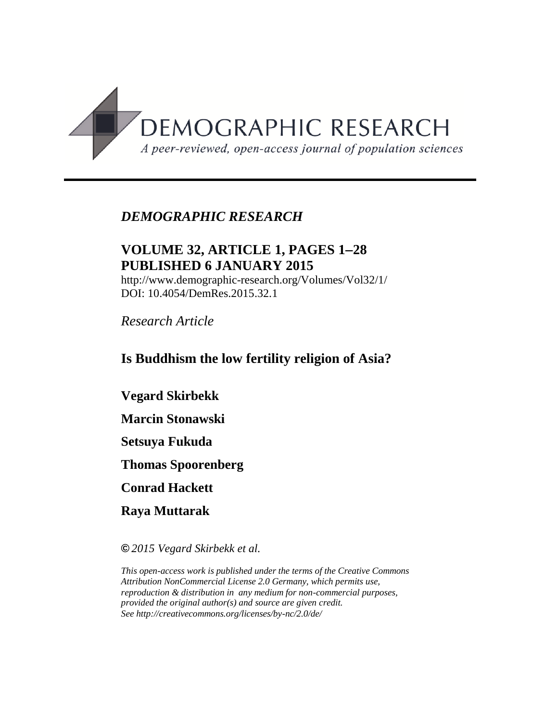

# *DEMOGRAPHIC RESEARCH*

# **VOLUME 32, ARTICLE 1, PAGES 128 PUBLISHED 6 JANUARY 2015**

http://www.demographic-research.org/Volumes/Vol32/1/ DOI: 10.4054/DemRes.2015.32.1

*Research Article*

# **Is Buddhism the low fertility religion of Asia?**

**Vegard Skirbekk** 

**Marcin Stonawski**

**Setsuya Fukuda** 

**Thomas Spoorenberg**

**Conrad Hackett**

**Raya Muttarak**

**©** *2015 Vegard Skirbekk et al.*

*This open-access work is published under the terms of the Creative Commons Attribution NonCommercial License 2.0 Germany, which permits use, reproduction & distribution in any medium for non-commercial purposes, provided the original author(s) and source are given credit. See http://creativecommons.org/licenses/by-nc/2.0/de/*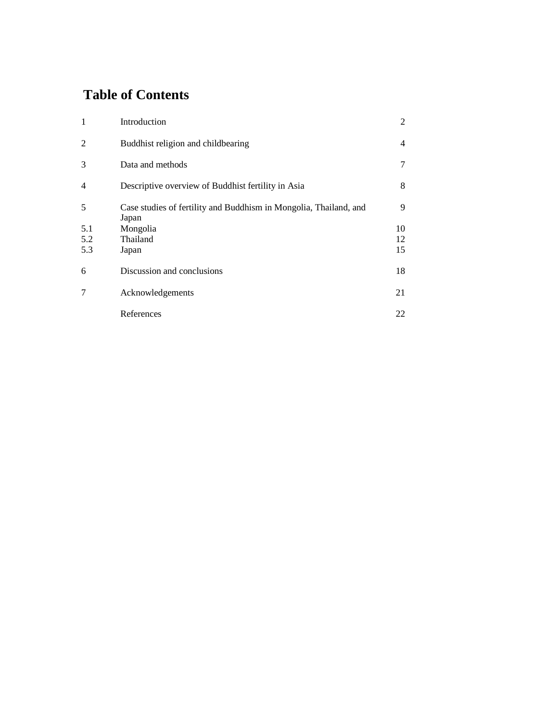# **Table of Contents**

| $\mathbf{1}$   | Introduction                                                               | $\overline{2}$ |
|----------------|----------------------------------------------------------------------------|----------------|
| 2              | Buddhist religion and childbearing                                         | 4              |
| 3              | Data and methods                                                           | 7              |
| $\overline{4}$ | Descriptive overview of Buddhist fertility in Asia                         | 8              |
| 5              | Case studies of fertility and Buddhism in Mongolia, Thailand, and<br>Japan | 9              |
| 5.1            | Mongolia                                                                   | 10             |
| 5.2            | Thailand                                                                   | 12             |
| 5.3            | Japan                                                                      | 15             |
| 6              | Discussion and conclusions                                                 | 18             |
| 7              | Acknowledgements                                                           | 21             |
|                | References                                                                 | 22             |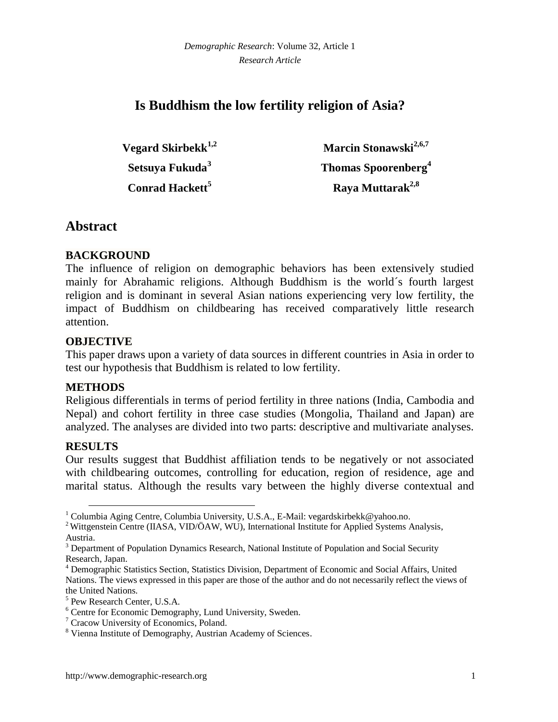# **Is Buddhism the low fertility religion of Asia?**

**Vegard Skirbekk1,2 Setsuya Fukuda<sup>3</sup> Conrad Hackett<sup>5</sup>**

**Marcin Stonawski2,6,7 Thomas Spoorenberg<sup>4</sup> Raya Muttarak2,8**

## **Abstract**

### **BACKGROUND**

The influence of religion on demographic behaviors has been extensively studied mainly for Abrahamic religions. Although Buddhism is the world´s fourth largest religion and is dominant in several Asian nations experiencing very low fertility, the impact of Buddhism on childbearing has received comparatively little research attention.

#### **OBJECTIVE**

This paper draws upon a variety of data sources in different countries in Asia in order to test our hypothesis that Buddhism is related to low fertility.

#### **METHODS**

Religious differentials in terms of period fertility in three nations (India, Cambodia and Nepal) and cohort fertility in three case studies (Mongolia, Thailand and Japan) are analyzed. The analyses are divided into two parts: descriptive and multivariate analyses.

### **RESULTS**

 $\overline{a}$ 

Our results suggest that Buddhist affiliation tends to be negatively or not associated with childbearing outcomes, controlling for education, region of residence, age and marital status. Although the results vary between the highly diverse contextual and

<sup>1</sup> Columbia Aging Centre, Columbia University, U.S.A., E-Mail: vegardskirbekk@yahoo.no.

<sup>&</sup>lt;sup>2</sup> Wittgenstein Centre (IIASA, VID/ÖAW, WU), International Institute for Applied Systems Analysis, Austria.

<sup>&</sup>lt;sup>3</sup> Department of Population Dynamics Research, National Institute of Population and Social Security Research, Japan.

<sup>4</sup> Demographic Statistics Section, Statistics Division, Department of Economic and Social Affairs, United Nations. The views expressed in this paper are those of the author and do not necessarily reflect the views of the United Nations.

<sup>5</sup> Pew Research Center, U.S.A.

<sup>6</sup> Centre for Economic Demography, Lund University, Sweden.

<sup>7</sup> Cracow University of Economics, Poland.

<sup>8</sup> Vienna Institute of Demography, Austrian Academy of Sciences.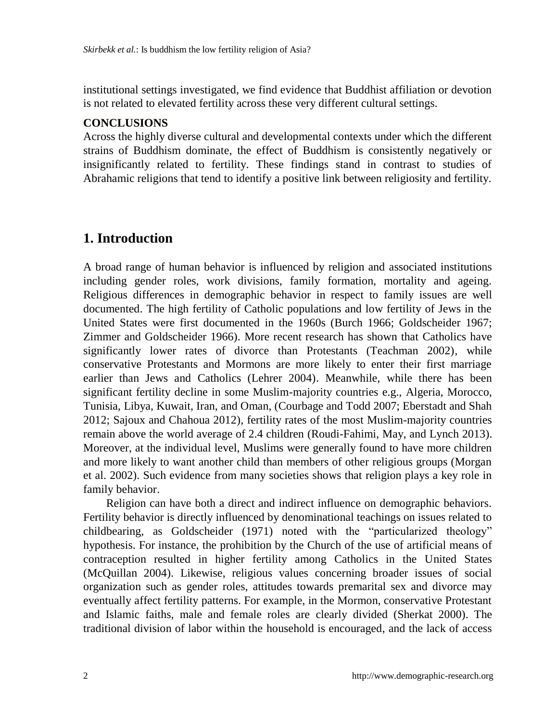institutional settings investigated, we find evidence that Buddhist affiliation or devotion is not related to elevated fertility across these very different cultural settings.

### **CONCLUSIONS**

Across the highly diverse cultural and developmental contexts under which the different strains of Buddhism dominate, the effect of Buddhism is consistently negatively or insignificantly related to fertility. These findings stand in contrast to studies of Abrahamic religions that tend to identify a positive link between religiosity and fertility.

# **1. Introduction**

A broad range of human behavior is influenced by religion and associated institutions including gender roles, work divisions, family formation, mortality and ageing. Religious differences in demographic behavior in respect to family issues are well documented. The high fertility of Catholic populations and low fertility of Jews in the United States were first documented in the 1960s (Burch 1966; Goldscheider 1967; Zimmer and Goldscheider 1966). More recent research has shown that Catholics have significantly lower rates of divorce than Protestants (Teachman 2002), while conservative Protestants and Mormons are more likely to enter their first marriage earlier than Jews and Catholics (Lehrer 2004). Meanwhile, while there has been significant fertility decline in some Muslim-majority countries e.g., Algeria, Morocco, Tunisia, Libya, Kuwait, Iran, and Oman, (Courbage and Todd 2007; Eberstadt and Shah 2012; Sajoux and Chahoua 2012), fertility rates of the most Muslim-majority countries remain above the world average of 2.4 children (Roudi-Fahimi, May, and Lynch 2013). Moreover, at the individual level, Muslims were generally found to have more children and more likely to want another child than members of other religious groups (Morgan et al. 2002). Such evidence from many societies shows that religion plays a key role in family behavior.

Religion can have both a direct and indirect influence on demographic behaviors. Fertility behavior is directly influenced by denominational teachings on issues related to childbearing, as Goldscheider (1971) noted with the "particularized theology" hypothesis. For instance, the prohibition by the Church of the use of artificial means of contraception resulted in higher fertility among Catholics in the United States (McQuillan 2004). Likewise, religious values concerning broader issues of social organization such as gender roles, attitudes towards premarital sex and divorce may eventually affect fertility patterns. For example, in the Mormon, conservative Protestant and Islamic faiths, male and female roles are clearly divided (Sherkat 2000). The traditional division of labor within the household is encouraged, and the lack of access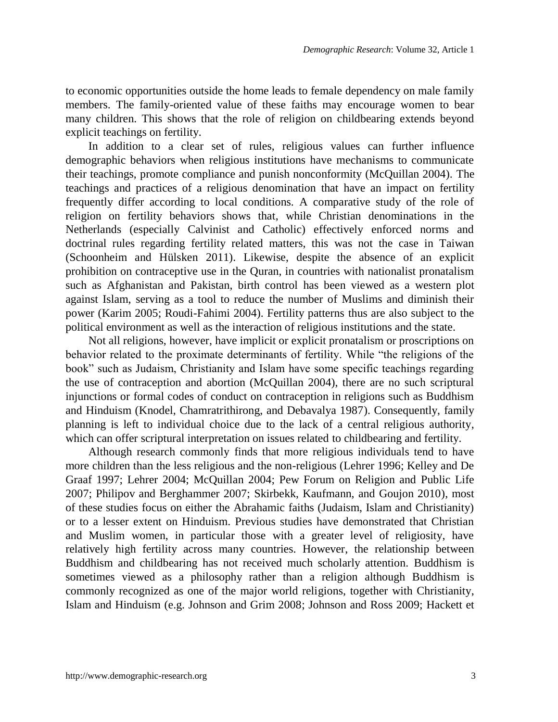to economic opportunities outside the home leads to female dependency on male family members. The family-oriented value of these faiths may encourage women to bear many children. This shows that the role of religion on childbearing extends beyond explicit teachings on fertility.

In addition to a clear set of rules, religious values can further influence demographic behaviors when religious institutions have mechanisms to communicate their teachings, promote compliance and punish nonconformity (McQuillan 2004). The teachings and practices of a religious denomination that have an impact on fertility frequently differ according to local conditions. A comparative study of the role of religion on fertility behaviors shows that, while Christian denominations in the Netherlands (especially Calvinist and Catholic) effectively enforced norms and doctrinal rules regarding fertility related matters, this was not the case in Taiwan (Schoonheim and Hülsken 2011). Likewise, despite the absence of an explicit prohibition on contraceptive use in the Quran, in countries with nationalist pronatalism such as Afghanistan and Pakistan, birth control has been viewed as a western plot against Islam, serving as a tool to reduce the number of Muslims and diminish their power (Karim 2005; Roudi-Fahimi 2004). Fertility patterns thus are also subject to the political environment as well as the interaction of religious institutions and the state.

Not all religions, however, have implicit or explicit pronatalism or proscriptions on behavior related to the proximate determinants of fertility. While "the religions of the book" such as Judaism, Christianity and Islam have some specific teachings regarding the use of contraception and abortion (McQuillan 2004), there are no such scriptural injunctions or formal codes of conduct on contraception in religions such as Buddhism and Hinduism (Knodel, Chamratrithirong, and Debavalya 1987). Consequently, family planning is left to individual choice due to the lack of a central religious authority, which can offer scriptural interpretation on issues related to childbearing and fertility.

Although research commonly finds that more religious individuals tend to have more children than the less religious and the non-religious (Lehrer 1996; Kelley and De Graaf 1997; Lehrer 2004; McQuillan 2004; Pew Forum on Religion and Public Life 2007; Philipov and Berghammer 2007; Skirbekk, Kaufmann, and Goujon 2010), most of these studies focus on either the Abrahamic faiths (Judaism, Islam and Christianity) or to a lesser extent on Hinduism. Previous studies have demonstrated that Christian and Muslim women, in particular those with a greater level of religiosity, have relatively high fertility across many countries. However, the relationship between Buddhism and childbearing has not received much scholarly attention. Buddhism is sometimes viewed as a philosophy rather than a religion although Buddhism is commonly recognized as one of the major world religions, together with Christianity, Islam and Hinduism (e.g. Johnson and Grim 2008; Johnson and Ross 2009; Hackett et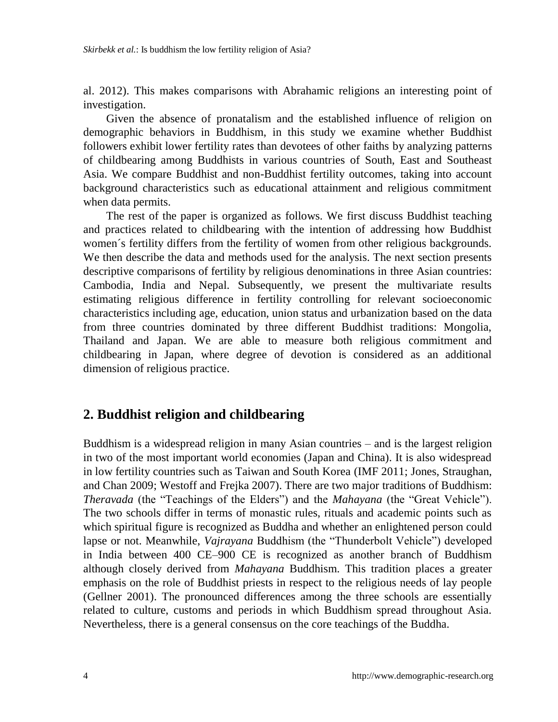al. 2012). This makes comparisons with Abrahamic religions an interesting point of investigation.

Given the absence of pronatalism and the established influence of religion on demographic behaviors in Buddhism, in this study we examine whether Buddhist followers exhibit lower fertility rates than devotees of other faiths by analyzing patterns of childbearing among Buddhists in various countries of South, East and Southeast Asia. We compare Buddhist and non-Buddhist fertility outcomes, taking into account background characteristics such as educational attainment and religious commitment when data permits.

The rest of the paper is organized as follows. We first discuss Buddhist teaching and practices related to childbearing with the intention of addressing how Buddhist women´s fertility differs from the fertility of women from other religious backgrounds. We then describe the data and methods used for the analysis. The next section presents descriptive comparisons of fertility by religious denominations in three Asian countries: Cambodia, India and Nepal. Subsequently, we present the multivariate results estimating religious difference in fertility controlling for relevant socioeconomic characteristics including age, education, union status and urbanization based on the data from three countries dominated by three different Buddhist traditions: Mongolia, Thailand and Japan. We are able to measure both religious commitment and childbearing in Japan, where degree of devotion is considered as an additional dimension of religious practice.

## **2. Buddhist religion and childbearing**

Buddhism is a widespread religion in many Asian countries – and is the largest religion in two of the most important world economies (Japan and China). It is also widespread in low fertility countries such as Taiwan and South Korea (IMF 2011; Jones, Straughan, and Chan 2009; Westoff and Frejka 2007). There are two major traditions of Buddhism: *Theravada* (the "Teachings of the Elders") and the *Mahayana* (the "Great Vehicle"). The two schools differ in terms of monastic rules, rituals and academic points such as which spiritual figure is recognized as Buddha and whether an enlightened person could lapse or not. Meanwhile, *Vajrayana* Buddhism (the "Thunderbolt Vehicle") developed in India between 400 CE–900 CE is recognized as another branch of Buddhism although closely derived from *Mahayana* Buddhism. This tradition places a greater emphasis on the role of Buddhist priests in respect to the religious needs of lay people (Gellner 2001). The pronounced differences among the three schools are essentially related to culture, customs and periods in which Buddhism spread throughout Asia. Nevertheless, there is a general consensus on the core teachings of the Buddha.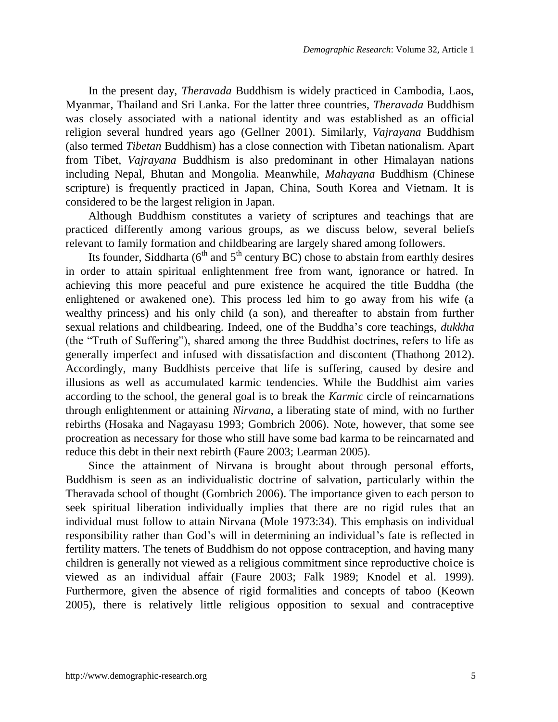In the present day, *Theravada* Buddhism is widely practiced in Cambodia, Laos, Myanmar, Thailand and Sri Lanka. For the latter three countries, *Theravada* Buddhism was closely associated with a national identity and was established as an official religion several hundred years ago (Gellner 2001). Similarly, *Vajrayana* Buddhism (also termed *Tibetan* Buddhism) has a close connection with Tibetan nationalism. Apart from Tibet, *Vajrayana* Buddhism is also predominant in other Himalayan nations including Nepal, Bhutan and Mongolia. Meanwhile, *Mahayana* Buddhism (Chinese scripture) is frequently practiced in Japan, China, South Korea and Vietnam. It is considered to be the largest religion in Japan.

Although Buddhism constitutes a variety of scriptures and teachings that are practiced differently among various groups, as we discuss below, several beliefs relevant to family formation and childbearing are largely shared among followers.

Its founder, Siddharta ( $6<sup>th</sup>$  and  $5<sup>th</sup>$  century BC) chose to abstain from earthly desires in order to attain spiritual enlightenment free from want, ignorance or hatred. In achieving this more peaceful and pure existence he acquired the title Buddha (the enlightened or awakened one). This process led him to go away from his wife (a wealthy princess) and his only child (a son), and thereafter to abstain from further sexual relations and childbearing. Indeed, one of the Buddha"s core teachings, *dukkha* (the "Truth of Suffering"), shared among the three Buddhist doctrines, refers to life as generally imperfect and infused with dissatisfaction and discontent (Thathong 2012). Accordingly, many Buddhists perceive that life is suffering, caused by desire and illusions as well as accumulated karmic tendencies. While the Buddhist aim varies according to the school, the general goal is to break the *Karmic* circle of reincarnations through enlightenment or attaining *Nirvana*, a liberating state of mind, with no further rebirths (Hosaka and Nagayasu 1993; Gombrich 2006). Note, however, that some see procreation as necessary for those who still have some bad karma to be reincarnated and reduce this debt in their next rebirth (Faure 2003; Learman 2005).

Since the attainment of Nirvana is brought about through personal efforts, Buddhism is seen as an individualistic doctrine of salvation, particularly within the Theravada school of thought (Gombrich 2006). The importance given to each person to seek spiritual liberation individually implies that there are no rigid rules that an individual must follow to attain Nirvana (Mole 1973:34). This emphasis on individual responsibility rather than God"s will in determining an individual"s fate is reflected in fertility matters. The tenets of Buddhism do not oppose contraception, and having many children is generally not viewed as a religious commitment since reproductive choice is viewed as an individual affair (Faure 2003; Falk 1989; Knodel et al. 1999). Furthermore, given the absence of rigid formalities and concepts of taboo (Keown 2005), there is relatively little religious opposition to sexual and contraceptive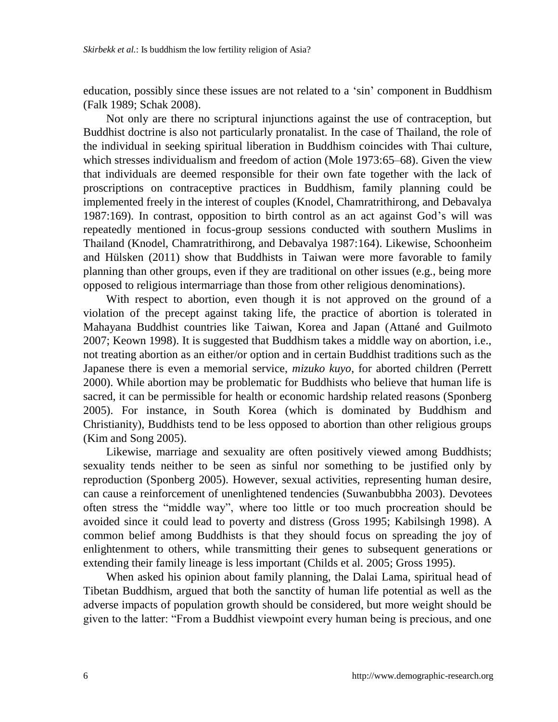education, possibly since these issues are not related to a "sin" component in Buddhism (Falk 1989; Schak 2008).

Not only are there no scriptural injunctions against the use of contraception, but Buddhist doctrine is also not particularly pronatalist. In the case of Thailand, the role of the individual in seeking spiritual liberation in Buddhism coincides with Thai culture, which stresses individualism and freedom of action (Mole 1973:65–68). Given the view that individuals are deemed responsible for their own fate together with the lack of proscriptions on contraceptive practices in Buddhism, family planning could be implemented freely in the interest of couples (Knodel, Chamratrithirong, and Debavalya 1987:169). In contrast, opposition to birth control as an act against God"s will was repeatedly mentioned in focus-group sessions conducted with southern Muslims in Thailand (Knodel, Chamratrithirong, and Debavalya 1987:164). Likewise, Schoonheim and Hülsken (2011) show that Buddhists in Taiwan were more favorable to family planning than other groups, even if they are traditional on other issues (e.g., being more opposed to religious intermarriage than those from other religious denominations).

With respect to abortion, even though it is not approved on the ground of a violation of the precept against taking life, the practice of abortion is tolerated in Mahayana Buddhist countries like Taiwan, Korea and Japan (Attané and Guilmoto 2007; Keown 1998). It is suggested that Buddhism takes a middle way on abortion, i.e., not treating abortion as an either/or option and in certain Buddhist traditions such as the Japanese there is even a memorial service, *mizuko kuyo*, for aborted children (Perrett 2000). While abortion may be problematic for Buddhists who believe that human life is sacred, it can be permissible for health or economic hardship related reasons (Sponberg 2005). For instance, in South Korea (which is dominated by Buddhism and Christianity), Buddhists tend to be less opposed to abortion than other religious groups (Kim and Song 2005).

Likewise, marriage and sexuality are often positively viewed among Buddhists; sexuality tends neither to be seen as sinful nor something to be justified only by reproduction (Sponberg 2005). However, sexual activities, representing human desire, can cause a reinforcement of unenlightened tendencies (Suwanbubbha 2003). Devotees often stress the "middle way", where too little or too much procreation should be avoided since it could lead to poverty and distress (Gross 1995; Kabilsingh 1998). A common belief among Buddhists is that they should focus on spreading the joy of enlightenment to others, while transmitting their genes to subsequent generations or extending their family lineage is less important (Childs et al. 2005; Gross 1995).

When asked his opinion about family planning, the Dalai Lama, spiritual head of Tibetan Buddhism, argued that both the sanctity of human life potential as well as the adverse impacts of population growth should be considered, but more weight should be given to the latter: "From a Buddhist viewpoint every human being is precious, and one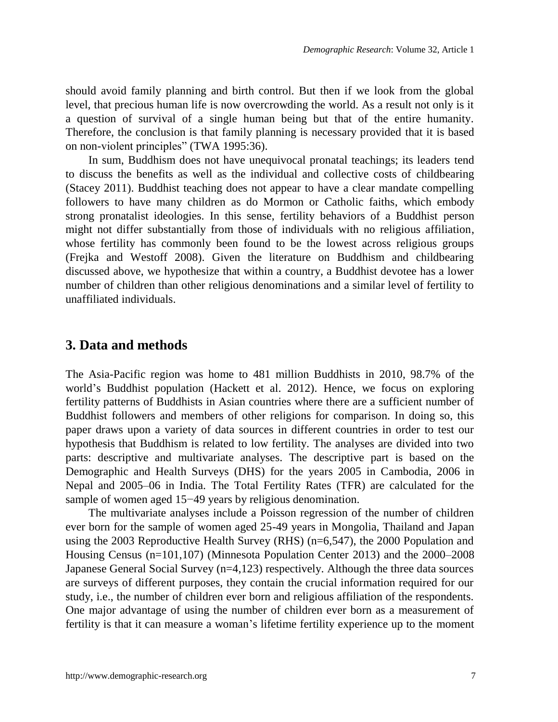should avoid family planning and birth control. But then if we look from the global level, that precious human life is now overcrowding the world. As a result not only is it a question of survival of a single human being but that of the entire humanity. Therefore, the conclusion is that family planning is necessary provided that it is based on non-violent principles" (TWA 1995:36).

In sum, Buddhism does not have unequivocal pronatal teachings; its leaders tend to discuss the benefits as well as the individual and collective costs of childbearing (Stacey 2011). Buddhist teaching does not appear to have a clear mandate compelling followers to have many children as do Mormon or Catholic faiths, which embody strong pronatalist ideologies. In this sense, fertility behaviors of a Buddhist person might not differ substantially from those of individuals with no religious affiliation, whose fertility has commonly been found to be the lowest across religious groups (Frejka and Westoff 2008). Given the literature on Buddhism and childbearing discussed above, we hypothesize that within a country, a Buddhist devotee has a lower number of children than other religious denominations and a similar level of fertility to unaffiliated individuals.

### **3. Data and methods**

The Asia-Pacific region was home to 481 million Buddhists in 2010, 98.7% of the world"s Buddhist population (Hackett et al. 2012). Hence, we focus on exploring fertility patterns of Buddhists in Asian countries where there are a sufficient number of Buddhist followers and members of other religions for comparison. In doing so, this paper draws upon a variety of data sources in different countries in order to test our hypothesis that Buddhism is related to low fertility. The analyses are divided into two parts: descriptive and multivariate analyses. The descriptive part is based on the Demographic and Health Surveys (DHS) for the years 2005 in Cambodia, 2006 in Nepal and 2005–06 in India. The Total Fertility Rates (TFR) are calculated for the sample of women aged 15−49 years by religious denomination.

The multivariate analyses include a Poisson regression of the number of children ever born for the sample of women aged 25-49 years in Mongolia, Thailand and Japan using the 2003 Reproductive Health Survey (RHS) (n=6,547), the 2000 Population and Housing Census (n=101,107) (Minnesota Population Center 2013) and the 2000–2008 Japanese General Social Survey (n=4,123) respectively. Although the three data sources are surveys of different purposes, they contain the crucial information required for our study, i.e., the number of children ever born and religious affiliation of the respondents. One major advantage of using the number of children ever born as a measurement of fertility is that it can measure a woman"s lifetime fertility experience up to the moment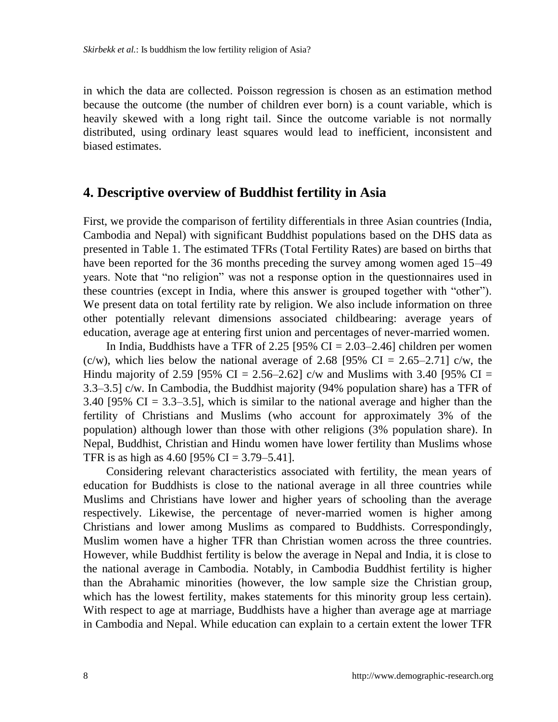in which the data are collected. Poisson regression is chosen as an estimation method because the outcome (the number of children ever born) is a count variable, which is heavily skewed with a long right tail. Since the outcome variable is not normally distributed, using ordinary least squares would lead to inefficient, inconsistent and biased estimates.

## **4. Descriptive overview of Buddhist fertility in Asia**

First, we provide the comparison of fertility differentials in three Asian countries (India, Cambodia and Nepal) with significant Buddhist populations based on the DHS data as presented in Table 1. The estimated TFRs (Total Fertility Rates) are based on births that have been reported for the 36 months preceding the survey among women aged 15–49 years. Note that "no religion" was not a response option in the questionnaires used in these countries (except in India, where this answer is grouped together with "other"). We present data on total fertility rate by religion. We also include information on three other potentially relevant dimensions associated childbearing: average years of education, average age at entering first union and percentages of never-married women.

In India, Buddhists have a TFR of 2.25 [95% CI = 2.03–2.46] children per women (c/w), which lies below the national average of 2.68 [95% CI = 2.65–2.71] c/w, the Hindu majority of 2.59 [95% CI = 2.56–2.62] c/w and Muslims with 3.40 [95% CI = 3.3–3.5] c/w. In Cambodia, the Buddhist majority (94% population share) has a TFR of  $3.40$  [95% CI =  $3.3-3.5$ ], which is similar to the national average and higher than the fertility of Christians and Muslims (who account for approximately 3% of the population) although lower than those with other religions (3% population share). In Nepal, Buddhist, Christian and Hindu women have lower fertility than Muslims whose TFR is as high as 4.60 [95% CI = 3.79–5.41].

Considering relevant characteristics associated with fertility, the mean years of education for Buddhists is close to the national average in all three countries while Muslims and Christians have lower and higher years of schooling than the average respectively. Likewise, the percentage of never-married women is higher among Christians and lower among Muslims as compared to Buddhists. Correspondingly, Muslim women have a higher TFR than Christian women across the three countries. However, while Buddhist fertility is below the average in Nepal and India, it is close to the national average in Cambodia. Notably, in Cambodia Buddhist fertility is higher than the Abrahamic minorities (however, the low sample size the Christian group, which has the lowest fertility, makes statements for this minority group less certain). With respect to age at marriage, Buddhists have a higher than average age at marriage in Cambodia and Nepal. While education can explain to a certain extent the lower TFR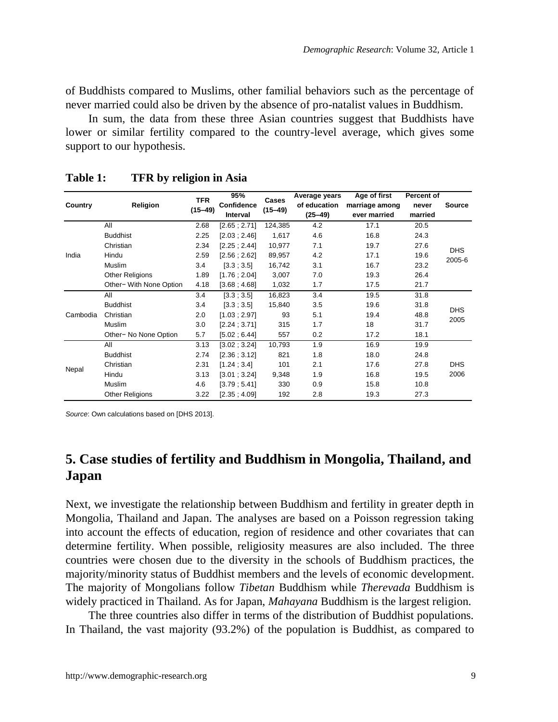of Buddhists compared to Muslims, other familial behaviors such as the percentage of never married could also be driven by the absence of pro-natalist values in Buddhism.

In sum, the data from these three Asian countries suggest that Buddhists have lower or similar fertility compared to the country-level average, which gives some support to our hypothesis.

| Country  | Religion                | <b>TFR</b><br>$(15 - 49)$ | 95%<br>Confidence<br><b>Interval</b> | Cases<br>$(15 - 49)$ | Average years<br>of education<br>$(25 - 49)$ | Age of first<br>marriage among<br>ever married | Percent of<br>never<br>married | Source               |  |
|----------|-------------------------|---------------------------|--------------------------------------|----------------------|----------------------------------------------|------------------------------------------------|--------------------------------|----------------------|--|
|          | All                     | 2.68                      | [2.65:2.71]                          | 124,385              | 4.2                                          | 17.1                                           | 20.5                           |                      |  |
|          | <b>Buddhist</b>         | 2.25                      | [2.03:2.46]                          | 1.617                | 4.6                                          | 16.8                                           | 24.3                           | <b>DHS</b><br>2005-6 |  |
|          | Christian               | 2.34                      | [2.25:2.44]                          | 10,977               | 7.1                                          | 19.7                                           | 27.6                           |                      |  |
| India    | Hindu                   | 2.59                      | [2.56:2.62]                          | 89,957               | 4.2                                          | 17.1                                           | 19.6                           |                      |  |
|          | Muslim                  | 3.4                       | [3.3:3.5]                            | 16,742               | 3.1                                          | 16.7                                           | 23.2                           |                      |  |
|          | Other Religions         | 1.89                      | [1.76:2.04]                          | 3,007                | 7.0                                          | 19.3                                           | 26.4                           |                      |  |
|          | Other- With None Option | 4.18                      | [3.68:4.68]                          | 1,032                | 1.7                                          | 17.5                                           | 21.7                           |                      |  |
|          | All                     | 3.4                       | [3.3:3.5]                            | 16,823               | 3.4                                          | 19.5                                           | 31.8                           | <b>DHS</b><br>2005   |  |
|          | <b>Buddhist</b>         | 3.4                       | [3.3; 3.5]                           | 15,840               | 3.5                                          | 19.6                                           | 31.8                           |                      |  |
| Cambodia | Christian               | 2.0                       | [1.03; 2.97]                         | 93                   | 5.1                                          | 19.4                                           | 48.8                           |                      |  |
|          | Muslim                  | 3.0                       | [2.24:3.71]                          | 315                  | 1.7                                          | 18                                             | 31.7                           |                      |  |
|          | Other- No None Option   | 5.7                       | [5.02:6.44]                          | 557                  | 0.2                                          | 17.2                                           | 18.1                           |                      |  |
|          | All                     | 3.13                      | [3.02 : 3.24]                        | 10,793               | 1.9                                          | 16.9                                           | 19.9                           |                      |  |
| Nepal    | <b>Buddhist</b>         | 2.74                      | [2.36; 3.12]                         | 821                  | 1.8                                          | 18.0                                           | 24.8                           |                      |  |
|          | Christian               | 2.31                      | [1.24:3.4]                           | 101                  | 2.1                                          | 17.6                                           | 27.8                           | <b>DHS</b>           |  |
|          | Hindu                   | 3.13                      | [3.01 : 3.24]                        | 9,348                | 1.9                                          | 16.8                                           | 19.5                           | 2006                 |  |
|          | Muslim                  | 4.6                       | [3.79:5.41]                          | 330                  | 0.9                                          | 15.8                                           | 10.8                           |                      |  |
|          | <b>Other Religions</b>  | 3.22                      | [2.35:4.09]                          | 192                  | 2.8                                          | 19.3                                           | 27.3                           |                      |  |

**Table 1: TFR by religion in Asia**

*Source*: Own calculations based on [DHS 2013].

## **5. Case studies of fertility and Buddhism in Mongolia, Thailand, and Japan**

Next, we investigate the relationship between Buddhism and fertility in greater depth in Mongolia, Thailand and Japan. The analyses are based on a Poisson regression taking into account the effects of education, region of residence and other covariates that can determine fertility. When possible, religiosity measures are also included. The three countries were chosen due to the diversity in the schools of Buddhism practices, the majority/minority status of Buddhist members and the levels of economic development. The majority of Mongolians follow *Tibetan* Buddhism while *Therevada* Buddhism is widely practiced in Thailand. As for Japan, *Mahayana* Buddhism is the largest religion.

The three countries also differ in terms of the distribution of Buddhist populations. In Thailand, the vast majority (93.2%) of the population is Buddhist, as compared to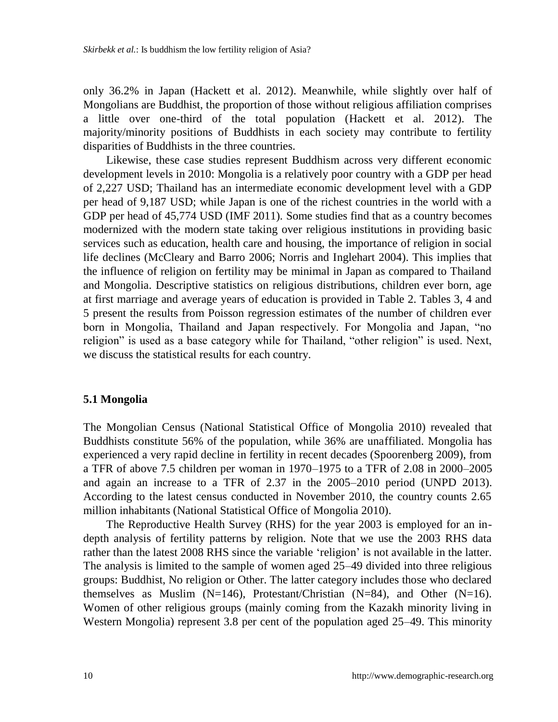only 36.2% in Japan (Hackett et al. 2012). Meanwhile, while slightly over half of Mongolians are Buddhist, the proportion of those without religious affiliation comprises a little over one-third of the total population (Hackett et al. 2012). The majority/minority positions of Buddhists in each society may contribute to fertility disparities of Buddhists in the three countries.

Likewise, these case studies represent Buddhism across very different economic development levels in 2010: Mongolia is a relatively poor country with a GDP per head of 2,227 USD; Thailand has an intermediate economic development level with a GDP per head of 9,187 USD; while Japan is one of the richest countries in the world with a GDP per head of 45,774 USD (IMF 2011). Some studies find that as a country becomes modernized with the modern state taking over religious institutions in providing basic services such as education, health care and housing, the importance of religion in social life declines (McCleary and Barro 2006; Norris and Inglehart 2004). This implies that the influence of religion on fertility may be minimal in Japan as compared to Thailand and Mongolia. Descriptive statistics on religious distributions, children ever born, age at first marriage and average years of education is provided in Table 2. Tables 3, 4 and 5 present the results from Poisson regression estimates of the number of children ever born in Mongolia, Thailand and Japan respectively. For Mongolia and Japan, "no religion" is used as a base category while for Thailand, "other religion" is used. Next, we discuss the statistical results for each country.

#### **5.1 Mongolia**

The Mongolian Census (National Statistical Office of Mongolia 2010) revealed that Buddhists constitute 56% of the population, while 36% are unaffiliated. Mongolia has experienced a very rapid decline in fertility in recent decades (Spoorenberg 2009), from a TFR of above 7.5 children per woman in 1970–1975 to a TFR of 2.08 in 2000–2005 and again an increase to a TFR of 2.37 in the 2005–2010 period (UNPD 2013). According to the latest census conducted in November 2010, the country counts 2.65 million inhabitants (National Statistical Office of Mongolia 2010).

The Reproductive Health Survey (RHS) for the year 2003 is employed for an indepth analysis of fertility patterns by religion. Note that we use the 2003 RHS data rather than the latest 2008 RHS since the variable "religion" is not available in the latter. The analysis is limited to the sample of women aged 25–49 divided into three religious groups: Buddhist, No religion or Other. The latter category includes those who declared themselves as Muslim (N=146), Protestant/Christian (N=84), and Other (N=16). Women of other religious groups (mainly coming from the Kazakh minority living in Western Mongolia) represent 3.8 per cent of the population aged 25–49. This minority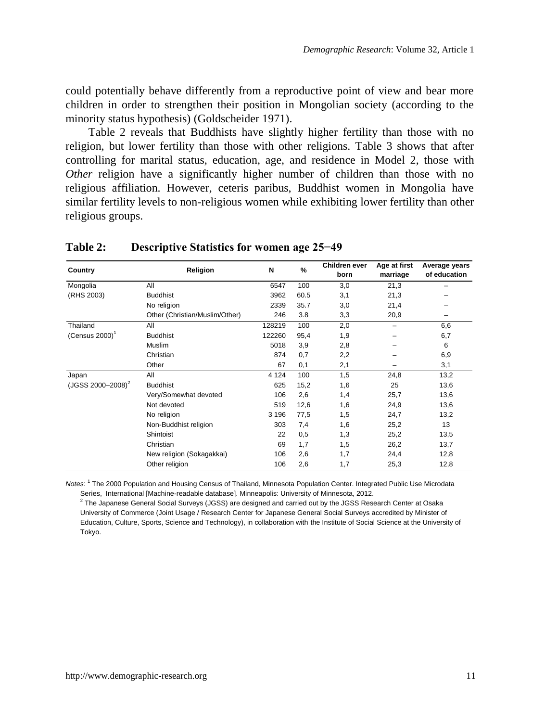could potentially behave differently from a reproductive point of view and bear more children in order to strengthen their position in Mongolian society (according to the minority status hypothesis) (Goldscheider 1971).

Table 2 reveals that Buddhists have slightly higher fertility than those with no religion, but lower fertility than those with other religions. Table 3 shows that after controlling for marital status, education, age, and residence in Model 2, those with *Other* religion have a significantly higher number of children than those with no religious affiliation. However, ceteris paribus, Buddhist women in Mongolia have similar fertility levels to non-religious women while exhibiting lower fertility than other religious groups.

| Country                | Religion                       | N       | %    | Children ever<br>born | Age at first<br>marriage | Average years<br>of education |
|------------------------|--------------------------------|---------|------|-----------------------|--------------------------|-------------------------------|
| Mongolia               | All                            | 6547    | 100  | 3,0                   | 21,3                     |                               |
| (RHS 2003)             | <b>Buddhist</b>                | 3962    | 60.5 | 3,1                   | 21,3                     |                               |
|                        | No religion                    | 2339    | 35.7 | 3,0                   | 21,4                     |                               |
|                        | Other (Christian/Muslim/Other) | 246     | 3.8  | 3,3                   | 20,9                     |                               |
| Thailand               | All                            | 128219  | 100  | 2,0                   | -                        | 6,6                           |
| $(Census 2000)^1$      | <b>Buddhist</b>                | 122260  | 95,4 | 1,9                   | -                        | 6,7                           |
|                        | Muslim                         | 5018    | 3,9  | 2,8                   |                          | 6                             |
|                        | Christian                      | 874     | 0,7  | 2,2                   |                          | 6,9                           |
|                        | Other                          | 67      | 0,1  | 2,1                   |                          | 3,1                           |
| Japan                  | All                            | 4 1 2 4 | 100  | 1,5                   | 24,8                     | 13,2                          |
| $(JGSS 2000 - 2008)^2$ | <b>Buddhist</b>                | 625     | 15,2 | 1,6                   | 25                       | 13,6                          |
|                        | Very/Somewhat devoted          | 106     | 2,6  | 1,4                   | 25,7                     | 13,6                          |
|                        | Not devoted                    | 519     | 12,6 | 1,6                   | 24,9                     | 13,6                          |
|                        | No religion                    | 3 1 9 6 | 77,5 | 1,5                   | 24,7                     | 13,2                          |
|                        | Non-Buddhist religion          | 303     | 7,4  | 1,6                   | 25,2                     | 13                            |
|                        | Shintoist                      | 22      | 0,5  | 1,3                   | 25,2                     | 13,5                          |
|                        | Christian                      | 69      | 1,7  | 1,5                   | 26,2                     | 13,7                          |
|                        | New religion (Sokagakkai)      | 106     | 2,6  | 1,7                   | 24,4                     | 12,8                          |
|                        | Other religion                 | 106     | 2,6  | 1,7                   | 25,3                     | 12,8                          |

#### **Table 2: Descriptive Statistics for women age 25−49**

*Notes*: <sup>1</sup> The 2000 Population and Housing Census of Thailand, Minnesota Population Center. Integrated Public Use Microdata Series, International [Machine-readable database]. Minneapolis: University of Minnesota, 2012.

 $^2$  The Japanese General Social Surveys (JGSS) are designed and carried out by the JGSS Research Center at Osaka University of Commerce (Joint Usage / Research Center for Japanese General Social Surveys accredited by Minister of Education, Culture, Sports, Science and Technology), in collaboration with the Institute of Social Science at the University of Tokyo.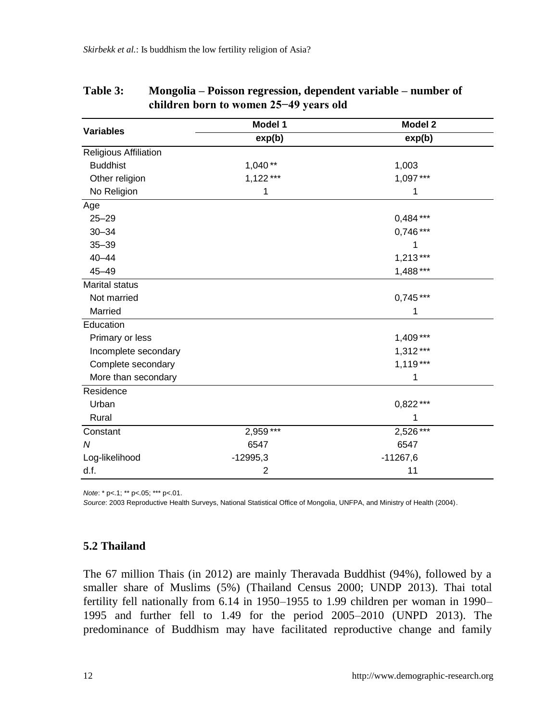|                       | Model 1    | Model 2    |  |  |
|-----------------------|------------|------------|--|--|
| <b>Variables</b>      | exp(b)     | exp(b)     |  |  |
| Religious Affiliation |            |            |  |  |
| <b>Buddhist</b>       | $1,040**$  | 1,003      |  |  |
| Other religion        | $1,122***$ | 1,097***   |  |  |
| No Religion           | 1          | 1          |  |  |
| Age                   |            |            |  |  |
| $25 - 29$             |            | $0,484***$ |  |  |
| $30 - 34$             |            | $0,746***$ |  |  |
| $35 - 39$             |            |            |  |  |
| $40 - 44$             |            | $1,213***$ |  |  |
| $45 - 49$             |            | 1,488 ***  |  |  |
| <b>Marital status</b> |            |            |  |  |
| Not married           |            | $0.745***$ |  |  |
| Married               |            | 1          |  |  |
| Education             |            |            |  |  |
| Primary or less       |            | $1,409***$ |  |  |
| Incomplete secondary  |            | $1,312***$ |  |  |
| Complete secondary    |            | $1,119***$ |  |  |
| More than secondary   |            | 1          |  |  |
| Residence             |            |            |  |  |
| Urban                 |            | $0,822***$ |  |  |
| Rural                 |            | 1          |  |  |
| Constant              | $2,959***$ | $2,526***$ |  |  |
| N                     | 6547       | 6547       |  |  |
| Log-likelihood        | $-12995,3$ | $-11267,6$ |  |  |
| d.f.                  | 2          | 11         |  |  |

| <b>Table 3:</b> | Mongolia – Poisson regression, dependent variable – number of |
|-----------------|---------------------------------------------------------------|
|                 | children born to women 25–49 years old                        |

*Note*: \* p<.1; \*\* p<.05; \*\*\* p<.01.

*Source*: 2003 Reproductive Health Surveys, National Statistical Office of Mongolia, UNFPA, and Ministry of Health (2004).

#### **5.2 Thailand**

The 67 million Thais (in 2012) are mainly Theravada Buddhist (94%), followed by a smaller share of Muslims (5%) (Thailand Census 2000; UNDP 2013). Thai total fertility fell nationally from 6.14 in 1950–1955 to 1.99 children per woman in 1990– 1995 and further fell to 1.49 for the period 2005–2010 (UNPD 2013). The predominance of Buddhism may have facilitated reproductive change and family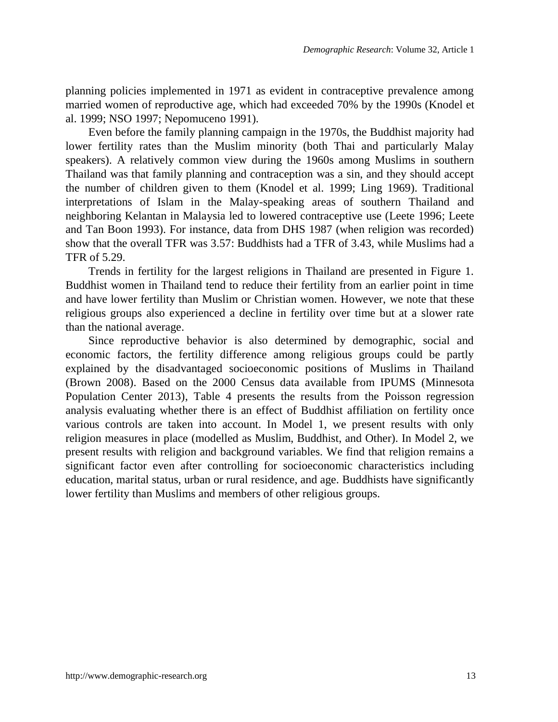planning policies implemented in 1971 as evident in contraceptive prevalence among married women of reproductive age, which had exceeded 70% by the 1990s (Knodel et al. 1999; NSO 1997; Nepomuceno 1991).

Even before the family planning campaign in the 1970s, the Buddhist majority had lower fertility rates than the Muslim minority (both Thai and particularly Malay speakers). A relatively common view during the 1960s among Muslims in southern Thailand was that family planning and contraception was a sin, and they should accept the number of children given to them (Knodel et al. 1999; Ling 1969). Traditional interpretations of Islam in the Malay-speaking areas of southern Thailand and neighboring Kelantan in Malaysia led to lowered contraceptive use (Leete 1996; Leete and Tan Boon 1993). For instance, data from DHS 1987 (when religion was recorded) show that the overall TFR was 3.57: Buddhists had a TFR of 3.43, while Muslims had a TFR of 5.29.

Trends in fertility for the largest religions in Thailand are presented in Figure 1. Buddhist women in Thailand tend to reduce their fertility from an earlier point in time and have lower fertility than Muslim or Christian women. However, we note that these religious groups also experienced a decline in fertility over time but at a slower rate than the national average.

Since reproductive behavior is also determined by demographic, social and economic factors, the fertility difference among religious groups could be partly explained by the disadvantaged socioeconomic positions of Muslims in Thailand (Brown 2008). Based on the 2000 Census data available from IPUMS (Minnesota Population Center 2013), Table 4 presents the results from the Poisson regression analysis evaluating whether there is an effect of Buddhist affiliation on fertility once various controls are taken into account. In Model 1, we present results with only religion measures in place (modelled as Muslim, Buddhist, and Other). In Model 2, we present results with religion and background variables. We find that religion remains a significant factor even after controlling for socioeconomic characteristics including education, marital status, urban or rural residence, and age. Buddhists have significantly lower fertility than Muslims and members of other religious groups.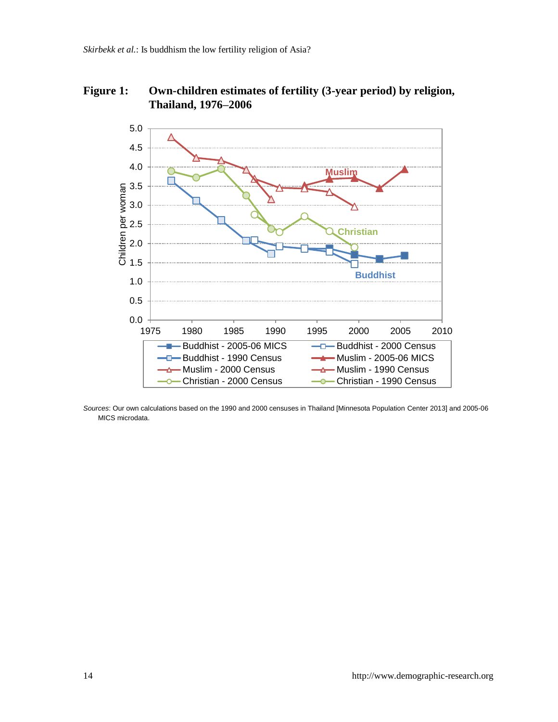## **Figure 1: Own-children estimates of fertility (3-year period) by religion, Thailand, 1976–2006**



*Sources*: Our own calculations based on the 1990 and 2000 censuses in Thailand [Minnesota Population Center 2013] and 2005-06 MICS microdata.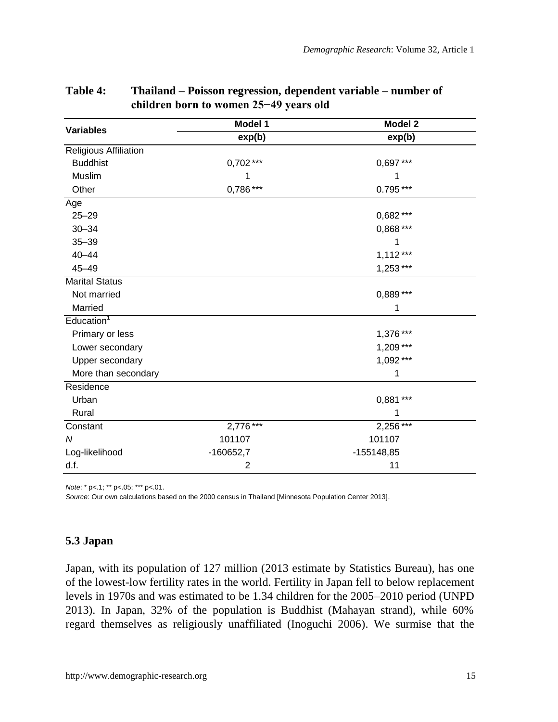|                              | Model 1     | Model 2      |  |  |
|------------------------------|-------------|--------------|--|--|
| <b>Variables</b>             | exp(b)      | exp(b)       |  |  |
| <b>Religious Affiliation</b> |             |              |  |  |
| <b>Buddhist</b>              | $0,702***$  | $0.697***$   |  |  |
| Muslim                       |             | 1            |  |  |
| Other                        | 0,786***    | $0.795***$   |  |  |
| Age                          |             |              |  |  |
| $25 - 29$                    |             | 0,682 ***    |  |  |
| $30 - 34$                    |             | 0,868 ***    |  |  |
| $35 - 39$                    |             | 1            |  |  |
| $40 - 44$                    |             | $1,112***$   |  |  |
| $45 - 49$                    |             | $1,253***$   |  |  |
| <b>Marital Status</b>        |             |              |  |  |
| Not married                  |             | 0,889 ***    |  |  |
| Married                      |             | 1            |  |  |
| $\text{Education}^1$         |             |              |  |  |
| Primary or less              |             | 1,376***     |  |  |
| Lower secondary              |             | $1,209***$   |  |  |
| Upper secondary              |             | 1,092***     |  |  |
| More than secondary          |             | 1            |  |  |
| Residence                    |             |              |  |  |
| Urban                        |             | 0,881 ***    |  |  |
| Rural                        |             | 1            |  |  |
| Constant                     | $2,776$ *** | 2,256***     |  |  |
| N                            | 101107      | 101107       |  |  |
| Log-likelihood               | $-160652,7$ | $-155148,85$ |  |  |
| d.f.                         | 2           | 11           |  |  |

### **Table 4: Thailand – Poisson regression, dependent variable – number of children born to women 25−49 years old**

*Note*: \* p<.1; \*\* p<.05; \*\*\* p<.01.

*Source*: Our own calculations based on the 2000 census in Thailand [Minnesota Population Center 2013].

#### **5.3 Japan**

Japan, with its population of 127 million (2013 estimate by Statistics Bureau), has one of the lowest-low fertility rates in the world. Fertility in Japan fell to below replacement levels in 1970s and was estimated to be 1.34 children for the 2005–2010 period (UNPD 2013). In Japan, 32% of the population is Buddhist (Mahayan strand), while 60% regard themselves as religiously unaffiliated (Inoguchi 2006). We surmise that the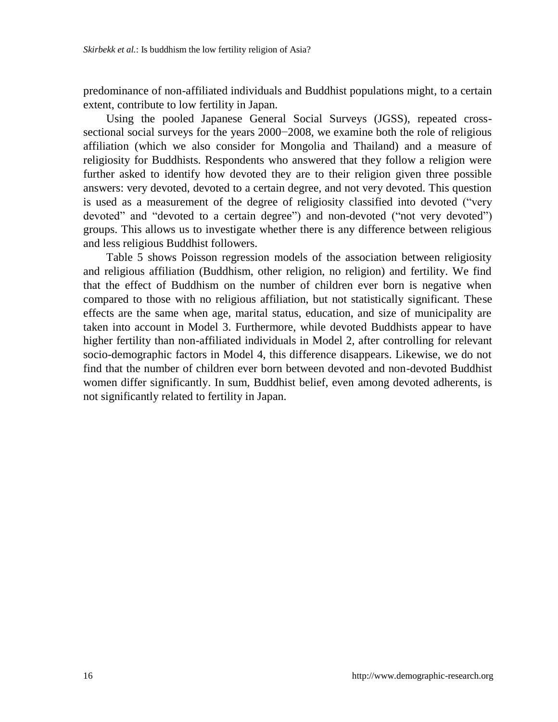predominance of non-affiliated individuals and Buddhist populations might, to a certain extent, contribute to low fertility in Japan.

Using the pooled Japanese General Social Surveys (JGSS), repeated crosssectional social surveys for the years 2000−2008, we examine both the role of religious affiliation (which we also consider for Mongolia and Thailand) and a measure of religiosity for Buddhists. Respondents who answered that they follow a religion were further asked to identify how devoted they are to their religion given three possible answers: very devoted, devoted to a certain degree, and not very devoted. This question is used as a measurement of the degree of religiosity classified into devoted ("very devoted" and "devoted to a certain degree") and non-devoted ("not very devoted") groups. This allows us to investigate whether there is any difference between religious and less religious Buddhist followers.

Table 5 shows Poisson regression models of the association between religiosity and religious affiliation (Buddhism, other religion, no religion) and fertility. We find that the effect of Buddhism on the number of children ever born is negative when compared to those with no religious affiliation, but not statistically significant. These effects are the same when age, marital status, education, and size of municipality are taken into account in Model 3. Furthermore, while devoted Buddhists appear to have higher fertility than non-affiliated individuals in Model 2, after controlling for relevant socio-demographic factors in Model 4, this difference disappears. Likewise, we do not find that the number of children ever born between devoted and non-devoted Buddhist women differ significantly. In sum, Buddhist belief, even among devoted adherents, is not significantly related to fertility in Japan.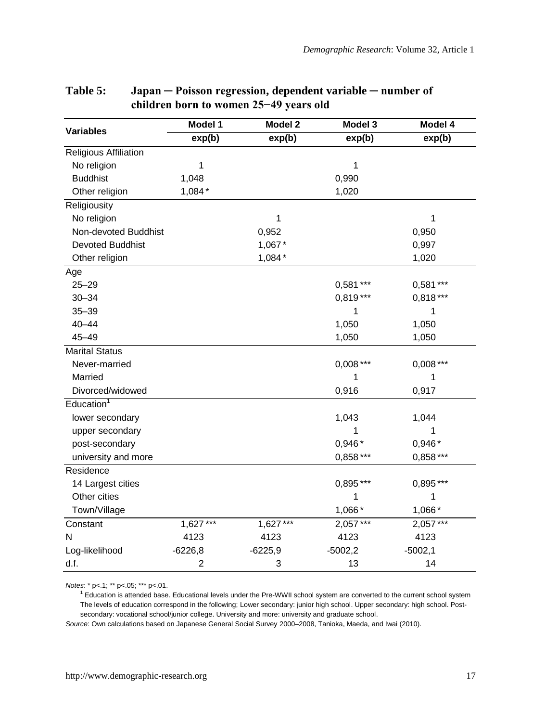|                              | Model 1        | Model 2    | Model 3    | Model 4    |
|------------------------------|----------------|------------|------------|------------|
| <b>Variables</b>             | exp(b)         | exp(b)     | exp(b)     | exp(b)     |
| <b>Religious Affiliation</b> |                |            |            |            |
| No religion                  | 1              |            | 1          |            |
| <b>Buddhist</b>              | 1,048          |            | 0,990      |            |
| Other religion               | $1,084*$       |            | 1,020      |            |
| Religiousity                 |                |            |            |            |
| No religion                  |                | 1          |            | 1          |
| Non-devoted Buddhist         |                | 0,952      |            | 0,950      |
| <b>Devoted Buddhist</b>      |                | 1,067*     |            | 0,997      |
| Other religion               |                | $1,084*$   |            | 1,020      |
| Age                          |                |            |            |            |
| $25 - 29$                    |                |            | $0,581***$ | $0,581***$ |
| $30 - 34$                    |                |            | $0.819***$ | $0.818***$ |
| $35 - 39$                    |                |            | 1          | 1          |
| $40 - 44$                    |                |            | 1,050      | 1,050      |
| $45 - 49$                    |                |            | 1,050      | 1,050      |
| <b>Marital Status</b>        |                |            |            |            |
| Never-married                |                |            | $0,008***$ | $0,008***$ |
| Married                      |                |            | 1          | 1          |
| Divorced/widowed             |                |            | 0,916      | 0,917      |
| Education <sup>1</sup>       |                |            |            |            |
| lower secondary              |                |            | 1,043      | 1,044      |
| upper secondary              |                |            | 1          | 1          |
| post-secondary               |                |            | $0,946*$   | $0.946*$   |
| university and more          |                |            | $0,858***$ | $0,858***$ |
| Residence                    |                |            |            |            |
| 14 Largest cities            |                |            | $0,895***$ | $0,895***$ |
| Other cities                 |                |            | 1          | 1          |
| Town/Village                 |                |            | 1,066 *    | 1,066*     |
| Constant                     | $1,627***$     | $1,627***$ | 2,057***   | 2,057***   |
| N                            | 4123           | 4123       | 4123       | 4123       |
| Log-likelihood               | $-6226.8$      | $-6225.9$  | $-5002.2$  | $-5002,1$  |
| d.f.                         | $\overline{2}$ | 3          | 13         | 14         |

### **Table 5: Japan ─ Poisson regression, dependent variable ─ number of children born to women 25−49 years old**

*Notes*: \* p<.1; \*\* p<.05; \*\*\* p<.01.

<sup>1</sup> Education is attended base. Educational levels under the Pre-WWII school system are converted to the current school system The levels of education correspond in the following; Lower secondary: junior high school. Upper secondary: high school. Postsecondary: vocational school/junior college. University and more: university and graduate school.

*Source*: Own calculations based on Japanese General Social Survey 2000–2008, Tanioka, Maeda, and Iwai (2010).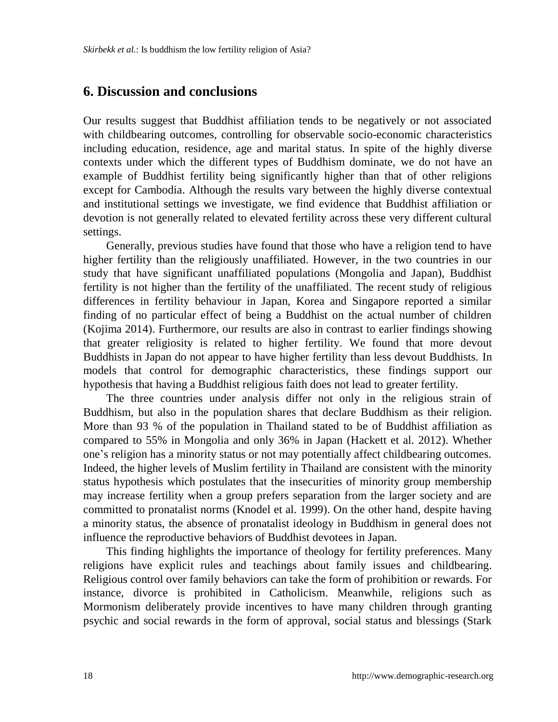### **6. Discussion and conclusions**

Our results suggest that Buddhist affiliation tends to be negatively or not associated with childbearing outcomes, controlling for observable socio-economic characteristics including education, residence, age and marital status. In spite of the highly diverse contexts under which the different types of Buddhism dominate, we do not have an example of Buddhist fertility being significantly higher than that of other religions except for Cambodia. Although the results vary between the highly diverse contextual and institutional settings we investigate, we find evidence that Buddhist affiliation or devotion is not generally related to elevated fertility across these very different cultural settings.

Generally, previous studies have found that those who have a religion tend to have higher fertility than the religiously unaffiliated. However, in the two countries in our study that have significant unaffiliated populations (Mongolia and Japan), Buddhist fertility is not higher than the fertility of the unaffiliated. The recent study of religious differences in fertility behaviour in Japan, Korea and Singapore reported a similar finding of no particular effect of being a Buddhist on the actual number of children (Kojima 2014). Furthermore, our results are also in contrast to earlier findings showing that greater religiosity is related to higher fertility. We found that more devout Buddhists in Japan do not appear to have higher fertility than less devout Buddhists. In models that control for demographic characteristics, these findings support our hypothesis that having a Buddhist religious faith does not lead to greater fertility.

The three countries under analysis differ not only in the religious strain of Buddhism, but also in the population shares that declare Buddhism as their religion. More than 93 % of the population in Thailand stated to be of Buddhist affiliation as compared to 55% in Mongolia and only 36% in Japan (Hackett et al. 2012). Whether one"s religion has a minority status or not may potentially affect childbearing outcomes. Indeed, the higher levels of Muslim fertility in Thailand are consistent with the minority status hypothesis which postulates that the insecurities of minority group membership may increase fertility when a group prefers separation from the larger society and are committed to pronatalist norms (Knodel et al. 1999). On the other hand, despite having a minority status, the absence of pronatalist ideology in Buddhism in general does not influence the reproductive behaviors of Buddhist devotees in Japan.

This finding highlights the importance of theology for fertility preferences. Many religions have explicit rules and teachings about family issues and childbearing. Religious control over family behaviors can take the form of prohibition or rewards. For instance, divorce is prohibited in Catholicism. Meanwhile, religions such as Mormonism deliberately provide incentives to have many children through granting psychic and social rewards in the form of approval, social status and blessings (Stark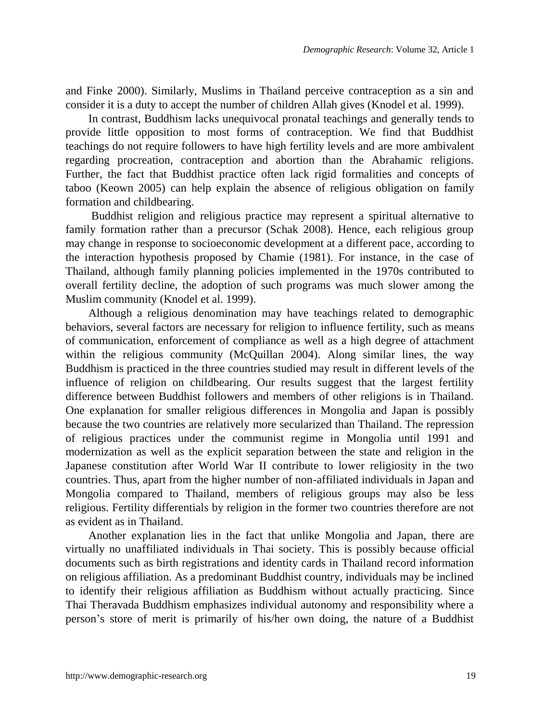and Finke 2000). Similarly, Muslims in Thailand perceive contraception as a sin and consider it is a duty to accept the number of children Allah gives (Knodel et al. 1999).

In contrast, Buddhism lacks unequivocal pronatal teachings and generally tends to provide little opposition to most forms of contraception. We find that Buddhist teachings do not require followers to have high fertility levels and are more ambivalent regarding procreation, contraception and abortion than the Abrahamic religions. Further, the fact that Buddhist practice often lack rigid formalities and concepts of taboo (Keown 2005) can help explain the absence of religious obligation on family formation and childbearing.

Buddhist religion and religious practice may represent a spiritual alternative to family formation rather than a precursor (Schak 2008). Hence, each religious group may change in response to socioeconomic development at a different pace, according to the interaction hypothesis proposed by Chamie (1981). For instance, in the case of Thailand, although family planning policies implemented in the 1970s contributed to overall fertility decline, the adoption of such programs was much slower among the Muslim community (Knodel et al. 1999).

Although a religious denomination may have teachings related to demographic behaviors, several factors are necessary for religion to influence fertility, such as means of communication, enforcement of compliance as well as a high degree of attachment within the religious community (McQuillan 2004). Along similar lines, the way Buddhism is practiced in the three countries studied may result in different levels of the influence of religion on childbearing. Our results suggest that the largest fertility difference between Buddhist followers and members of other religions is in Thailand. One explanation for smaller religious differences in Mongolia and Japan is possibly because the two countries are relatively more secularized than Thailand. The repression of religious practices under the communist regime in Mongolia until 1991 and modernization as well as the explicit separation between the state and religion in the Japanese constitution after World War II contribute to lower religiosity in the two countries. Thus, apart from the higher number of non-affiliated individuals in Japan and Mongolia compared to Thailand, members of religious groups may also be less religious. Fertility differentials by religion in the former two countries therefore are not as evident as in Thailand.

Another explanation lies in the fact that unlike Mongolia and Japan, there are virtually no unaffiliated individuals in Thai society. This is possibly because official documents such as birth registrations and identity cards in Thailand record information on religious affiliation. As a predominant Buddhist country, individuals may be inclined to identify their religious affiliation as Buddhism without actually practicing. Since Thai Theravada Buddhism emphasizes individual autonomy and responsibility where a person"s store of merit is primarily of his/her own doing, the nature of a Buddhist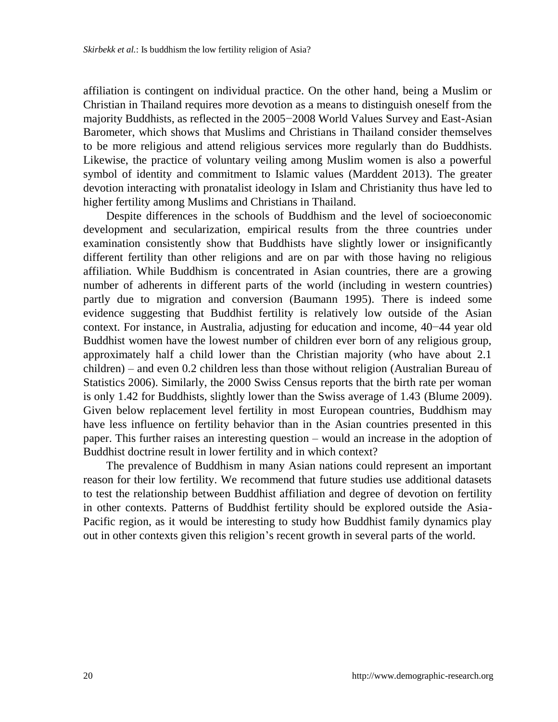affiliation is contingent on individual practice. On the other hand, being a Muslim or Christian in Thailand requires more devotion as a means to distinguish oneself from the majority Buddhists, as reflected in the 2005−2008 World Values Survey and East-Asian Barometer, which shows that Muslims and Christians in Thailand consider themselves to be more religious and attend religious services more regularly than do Buddhists. Likewise, the practice of voluntary veiling among Muslim women is also a powerful symbol of identity and commitment to Islamic values (Marddent 2013). The greater devotion interacting with pronatalist ideology in Islam and Christianity thus have led to higher fertility among Muslims and Christians in Thailand.

Despite differences in the schools of Buddhism and the level of socioeconomic development and secularization, empirical results from the three countries under examination consistently show that Buddhists have slightly lower or insignificantly different fertility than other religions and are on par with those having no religious affiliation. While Buddhism is concentrated in Asian countries, there are a growing number of adherents in different parts of the world (including in western countries) partly due to migration and conversion (Baumann 1995). There is indeed some evidence suggesting that Buddhist fertility is relatively low outside of the Asian context. For instance, in Australia, adjusting for education and income, 40−44 year old Buddhist women have the lowest number of children ever born of any religious group, approximately half a child lower than the Christian majority (who have about 2.1 children) – and even 0.2 children less than those without religion (Australian Bureau of Statistics 2006). Similarly, the 2000 Swiss Census reports that the birth rate per woman is only 1.42 for Buddhists, slightly lower than the Swiss average of 1.43 (Blume 2009). Given below replacement level fertility in most European countries, Buddhism may have less influence on fertility behavior than in the Asian countries presented in this paper. This further raises an interesting question – would an increase in the adoption of Buddhist doctrine result in lower fertility and in which context?

The prevalence of Buddhism in many Asian nations could represent an important reason for their low fertility. We recommend that future studies use additional datasets to test the relationship between Buddhist affiliation and degree of devotion on fertility in other contexts. Patterns of Buddhist fertility should be explored outside the Asia-Pacific region, as it would be interesting to study how Buddhist family dynamics play out in other contexts given this religion"s recent growth in several parts of the world.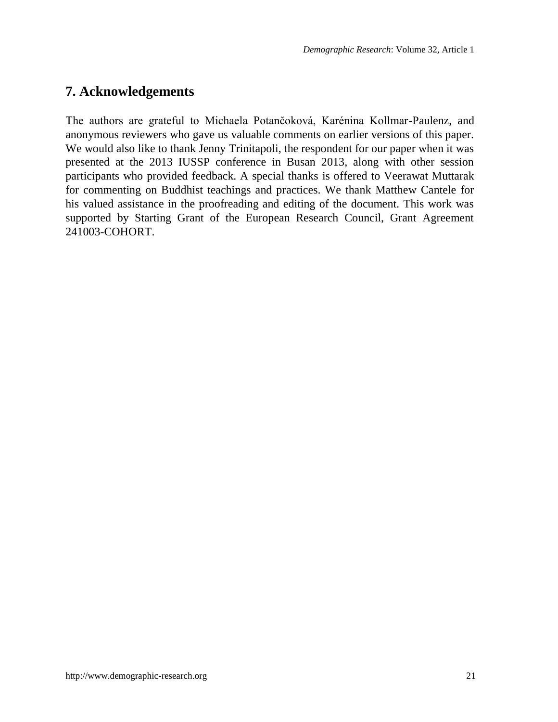## **7. Acknowledgements**

The authors are grateful to Michaela Potančoková, Karénina Kollmar-Paulenz, and anonymous reviewers who gave us valuable comments on earlier versions of this paper. We would also like to thank Jenny Trinitapoli, the respondent for our paper when it was presented at the 2013 IUSSP conference in Busan 2013, along with other session participants who provided feedback. A special thanks is offered to Veerawat Muttarak for commenting on Buddhist teachings and practices. We thank Matthew Cantele for his valued assistance in the proofreading and editing of the document. This work was supported by Starting Grant of the European Research Council, Grant Agreement 241003-COHORT.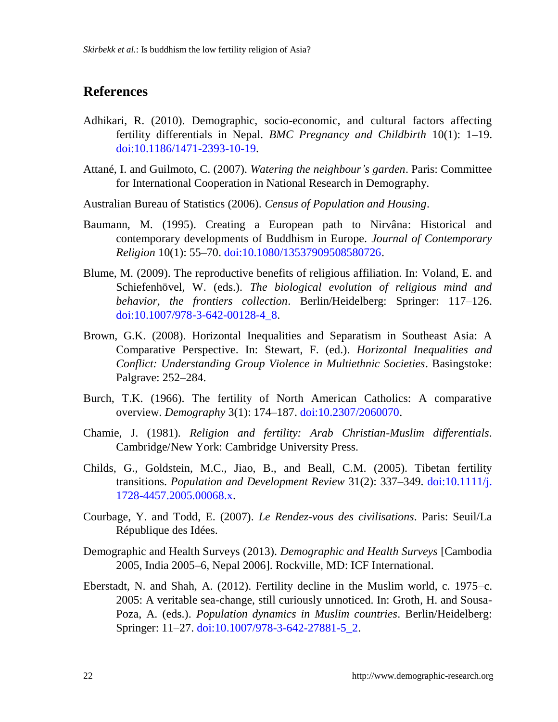## **References**

- Adhikari, R. (2010). Demographic, socio-economic, and cultural factors affecting fertility differentials in Nepal. *BMC Pregnancy and Childbirth* 10(1): 1–19. [doi:10.1186/1471-2393-10-19.](http://dx.doi.org/10.1186/1471-2393-10-19)
- Attané, I. and Guilmoto, C. (2007). *Watering the neighbour's garden*. Paris: Committee for International Cooperation in National Research in Demography.
- Australian Bureau of Statistics (2006). *Census of Population and Housing*.
- Baumann, M. (1995). Creating a European path to Nirvâna: Historical and contemporary developments of Buddhism in Europe. *Journal of Contemporary Religion* 10(1): 55–70[. doi:10.1080/13537909508580726.](http://dx.doi.org/10.1080/13537909508580726)
- Blume, M. (2009). The reproductive benefits of religious affiliation. In: Voland, E. and Schiefenhövel, W. (eds.). *The biological evolution of religious mind and behavior, the frontiers collection*. Berlin/Heidelberg: Springer: 117–126. [doi:10.1007/978-3-642-00128-4\\_8.](http://dx.doi.org/10.1007/978-3-642-00128-4_8)
- Brown, G.K. (2008). Horizontal Inequalities and Separatism in Southeast Asia: A Comparative Perspective. In: Stewart, F. (ed.). *Horizontal Inequalities and Conflict: Understanding Group Violence in Multiethnic Societies*. Basingstoke: Palgrave: 252–284.
- Burch, T.K. (1966). The fertility of North American Catholics: A comparative overview. *Demography* 3(1): 174–187. [doi:10.2307/2060070.](http://dx.doi.org/10.2307/2060070)
- Chamie, J. (1981). *Religion and fertility: Arab Christian-Muslim differentials*. Cambridge/New York: Cambridge University Press.
- Childs, G., Goldstein, M.C., Jiao, B., and Beall, C.M. (2005). Tibetan fertility transitions. *Population and Development Review* 31(2): 337–349. [doi:10.1111/j.](http://dx.doi.org/10.1111/j.1728-4457.2005.00068.x) [1728-4457.2005.00068.x.](http://dx.doi.org/10.1111/j.1728-4457.2005.00068.x)
- Courbage, Y. and Todd, E. (2007). *Le Rendez-vous des civilisations*. Paris: Seuil/La République des Idées.
- Demographic and Health Surveys (2013). *Demographic and Health Surveys* [Cambodia 2005, India 2005–6, Nepal 2006]. Rockville, MD: ICF International.
- Eberstadt, N. and Shah, A. (2012). Fertility decline in the Muslim world, c. 1975–c. 2005: A veritable sea-change, still curiously unnoticed. In: Groth, H. and Sousa-Poza, A. (eds.). *Population dynamics in Muslim countries*. Berlin/Heidelberg: Springer: 11–27. [doi:10.1007/978-3-642-27881-5\\_2.](http://dx.doi.org/10.1007/978-3-642-27881-5_2)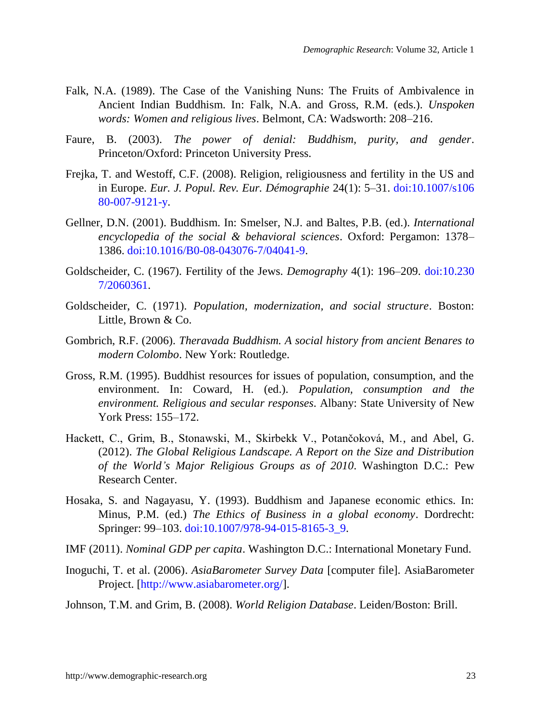- Falk, N.A. (1989). The Case of the Vanishing Nuns: The Fruits of Ambivalence in Ancient Indian Buddhism. In: Falk, N.A. and Gross, R.M. (eds.). *Unspoken words: Women and religious lives*. Belmont, CA: Wadsworth: 208–216.
- Faure, B. (2003). *The power of denial: Buddhism, purity, and gender*. Princeton/Oxford: Princeton University Press.
- Frejka, T. and Westoff, C.F. (2008). Religion, religiousness and fertility in the US and in Europe. *Eur. J. Popul. Rev. Eur. Démographie* 24(1): 5–31. [doi:10.1007/s106](http://dx.doi.org/10.1007/s10680-007-9121-y) [80-007-9121-y.](http://dx.doi.org/10.1007/s10680-007-9121-y)
- Gellner, D.N. (2001). Buddhism. In: Smelser, N.J. and Baltes, P.B. (ed.). *International encyclopedia of the social & behavioral sciences*. Oxford: Pergamon: 1378– 1386. [doi:10.1016/B0-08-043076-7/04041-9.](http://dx.doi.org/10.1016/B0-08-043076-7/04041-9)
- Goldscheider, C. (1967). Fertility of the Jews. *Demography* 4(1): 196–209. [doi:10.230](http://dx.doi.org/10.2307/2060361) [7/2060361.](http://dx.doi.org/10.2307/2060361)
- Goldscheider, C. (1971). *Population, modernization, and social structure*. Boston: Little, Brown & Co.
- Gombrich, R.F. (2006). *Theravada Buddhism. A social history from ancient Benares to modern Colombo*. New York: Routledge.
- Gross, R.M. (1995). Buddhist resources for issues of population, consumption, and the environment. In: Coward, H. (ed.). *Population, consumption and the environment. Religious and secular responses*. Albany: State University of New York Press: 155–172.
- Hackett, C., Grim, B., Stonawski, M., Skirbekk V., Potančoková, M., and Abel, G. (2012). *The Global Religious Landscape. A Report on the Size and Distribution of the World's Major Religious Groups as of 2010*. Washington D.C.: Pew Research Center.
- Hosaka, S. and Nagayasu, Y. (1993). Buddhism and Japanese economic ethics. In: Minus, P.M. (ed.) *The Ethics of Business in a global economy*. Dordrecht: Springer: 99-103. [doi:10.1007/978-94-015-8165-3\\_9.](http://dx.doi.org/10.1007/978-94-015-8165-3_9)
- IMF (2011). *Nominal GDP per capita*. Washington D.C.: International Monetary Fund.
- Inoguchi, T. et al. (2006). *AsiaBarometer Survey Data* [computer file]. AsiaBarometer Project. [\[http://www.asiabarometer.org/\]](http://www.asiabarometer.org/).
- Johnson, T.M. and Grim, B. (2008). *World Religion Database*. Leiden/Boston: Brill.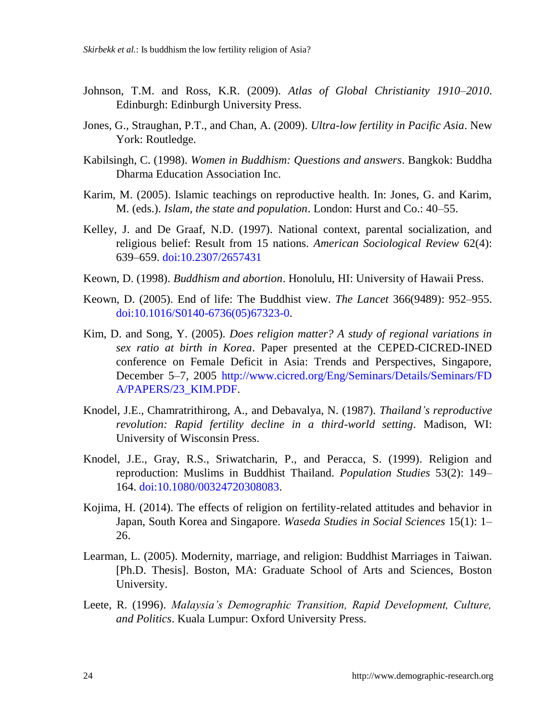- Johnson, T.M. and Ross, K.R. (2009). *Atlas of Global Christianity 1910–2010*. Edinburgh: Edinburgh University Press.
- Jones, G., Straughan, P.T., and Chan, A. (2009). *Ultra-low fertility in Pacific Asia*. New York: Routledge.
- Kabilsingh, C. (1998). *Women in Buddhism: Questions and answers*. Bangkok: Buddha Dharma Education Association Inc.
- Karim, M. (2005). Islamic teachings on reproductive health. In: Jones, G. and Karim, M. (eds.). *Islam, the state and population*. London: Hurst and Co.: 40–55.
- Kelley, J. and De Graaf, N.D. (1997). National context, parental socialization, and religious belief: Result from 15 nations. *American Sociological Review* 62(4): 639–659. [doi:10.2307/2657431](http://dx.doi.org/10.2307/2657431)
- Keown, D. (1998). *Buddhism and abortion*. Honolulu, HI: University of Hawaii Press.
- Keown, D. (2005). End of life: The Buddhist view. *The Lancet* 366(9489): 952–955. [doi:10.1016/S0140-6736\(05\)67323-0.](http://dx.doi.org/10.1016/S0140-6736%2805%2967323-0)
- Kim, D. and Song, Y. (2005). *Does religion matter? A study of regional variations in sex ratio at birth in Korea*. Paper presented at the CEPED-CICRED-INED conference on Female Deficit in Asia: Trends and Perspectives, Singapore, December 5–7, 2005 [http://www.cicred.org/Eng/Seminars/Details/Seminars/FD](http://www.cicred.org/Eng/Seminars/Details/Seminars/FDA/PAPERS/23_KIM.PDF) [A/PAPERS/23\\_KIM.PDF.](http://www.cicred.org/Eng/Seminars/Details/Seminars/FDA/PAPERS/23_KIM.PDF)
- Knodel, J.E., Chamratrithirong, A., and Debavalya, N. (1987). *Thailand's reproductive revolution: Rapid fertility decline in a third-world setting*. Madison, WI: University of Wisconsin Press.
- Knodel, J.E., Gray, R.S., Sriwatcharin, P., and Peracca, S. (1999). Religion and reproduction: Muslims in Buddhist Thailand. *Population Studies* 53(2): 149– 164. [doi:10.1080/00324720308083.](http://dx.doi.org/10.1080/00324720308083)
- Kojima, H. (2014). The effects of religion on fertility-related attitudes and behavior in Japan, South Korea and Singapore. *Waseda Studies in Social Sciences* 15(1): 1– 26.
- Learman, L. (2005). Modernity, marriage, and religion: Buddhist Marriages in Taiwan. [Ph.D. Thesis]. Boston, MA: Graduate School of Arts and Sciences, Boston University.
- Leete, R. (1996). *Malaysia's Demographic Transition, Rapid Development, Culture, and Politics*. Kuala Lumpur: Oxford University Press.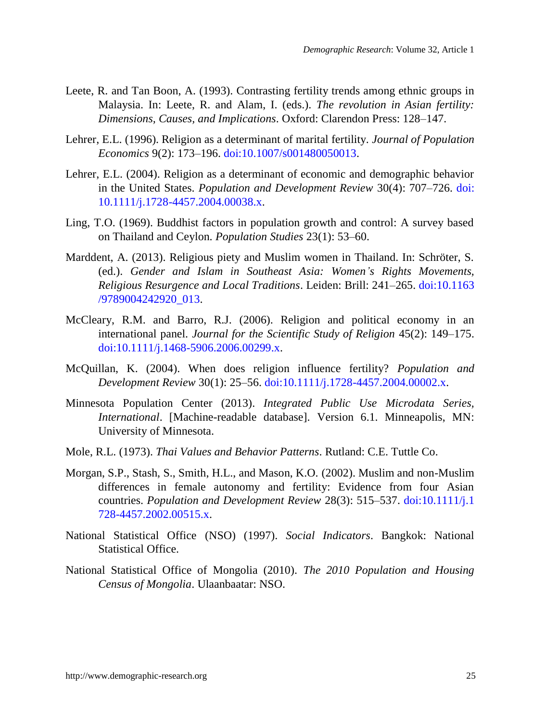- Leete, R. and Tan Boon, A. (1993). Contrasting fertility trends among ethnic groups in Malaysia. In: Leete, R. and Alam, I. (eds.). *The revolution in Asian fertility: Dimensions, Causes, and Implications*. Oxford: Clarendon Press: 128–147.
- Lehrer, E.L. (1996). Religion as a determinant of marital fertility. *Journal of Population Economics* 9(2): 173–196. [doi:10.1007/s001480050013.](http://dx.doi.org/10.1007/s001480050013)
- Lehrer, E.L. (2004). Religion as a determinant of economic and demographic behavior in the United States. *Population and Development Review* 30(4): 707–726. [doi:](http://dx.doi.org/10.1111/j.1728-4457.2004.00038.x) [10.1111/j.1728-4457.2004.00038.x.](http://dx.doi.org/10.1111/j.1728-4457.2004.00038.x)
- Ling, T.O. (1969). Buddhist factors in population growth and control: A survey based on Thailand and Ceylon. *Population Studies* 23(1): 53–60.
- Marddent, A. (2013). Religious piety and Muslim women in Thailand. In: Schröter, S. (ed.). *Gender and Islam in Southeast Asia: Women's Rights Movements, Religious Resurgence and Local Traditions*. Leiden: Brill: 241–265. [doi:10.1163](http://dx.doi.org/10.1163/9789004242920_013) [/9789004242920\\_013.](http://dx.doi.org/10.1163/9789004242920_013)
- McCleary, R.M. and Barro, R.J. (2006). Religion and political economy in an international panel. *Journal for the Scientific Study of Religion* 45(2): 149–175. [doi:10.1111/j.1468-5906.2006.00299.x.](http://dx.doi.org/10.1111/j.1468-5906.2006.00299.x)
- McQuillan, K. (2004). When does religion influence fertility? *Population and Development Review* 30(1): 25–56. [doi:10.1111/j.1728-4457.2004.00002.x.](http://dx.doi.org/10.1111/j.1728-4457.2004.00002.x)
- Minnesota Population Center (2013). *Integrated Public Use Microdata Series, International*. [Machine-readable database]. Version 6.1. Minneapolis, MN: University of Minnesota.
- Mole, R.L. (1973). *Thai Values and Behavior Patterns*. Rutland: C.E. Tuttle Co.
- Morgan, S.P., Stash, S., Smith, H.L., and Mason, K.O. (2002). Muslim and non-Muslim differences in female autonomy and fertility: Evidence from four Asian countries. *Population and Development Review* 28(3): 515–537. [doi:10.1111/j.1](http://dx.doi.org/10.1111/j.1728-4457.2002.00515.x) [728-4457.2002.00515.x.](http://dx.doi.org/10.1111/j.1728-4457.2002.00515.x)
- National Statistical Office (NSO) (1997). *Social Indicators*. Bangkok: National Statistical Office.
- National Statistical Office of Mongolia (2010). *The 2010 Population and Housing Census of Mongolia*. Ulaanbaatar: NSO.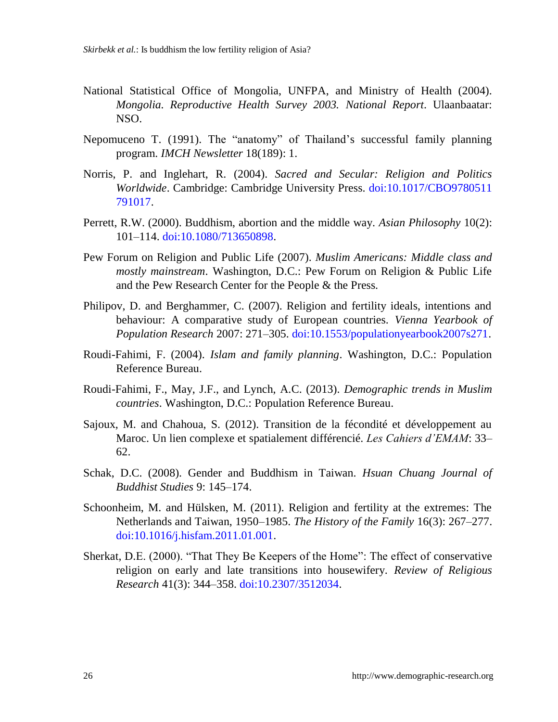- National Statistical Office of Mongolia, UNFPA, and Ministry of Health (2004). *Mongolia. Reproductive Health Survey 2003. National Report*. Ulaanbaatar: NSO.
- Nepomuceno T. (1991). The "anatomy" of Thailand"s successful family planning program. *IMCH Newsletter* 18(189): 1.
- Norris, P. and Inglehart, R. (2004). *Sacred and Secular: Religion and Politics Worldwide*. Cambridge: Cambridge University Press. [doi:10.1017/CBO9780511](http://dx.doi.org/10.1017/CBO9780511791017) [791017.](http://dx.doi.org/10.1017/CBO9780511791017)
- Perrett, R.W. (2000). Buddhism, abortion and the middle way. *Asian Philosophy* 10(2): 101–114. [doi:10.1080/713650898.](http://dx.doi.org/10.1080/713650898)
- Pew Forum on Religion and Public Life (2007). *Muslim Americans: Middle class and mostly mainstream*. Washington, D.C.: Pew Forum on Religion & Public Life and the Pew Research Center for the People & the Press.
- Philipov, D. and Berghammer, C. (2007). Religion and fertility ideals, intentions and behaviour: A comparative study of European countries. *Vienna Yearbook of Population Research* 2007: 271–305. [doi:10.1553/populationyearbook2007s271.](http://dx.doi.org/10.1553/populationyearbook2007s271)
- Roudi-Fahimi, F. (2004). *Islam and family planning*. Washington, D.C.: Population Reference Bureau.
- Roudi-Fahimi, F., May, J.F., and Lynch, A.C. (2013). *Demographic trends in Muslim countries*. Washington, D.C.: Population Reference Bureau.
- Sajoux, M. and Chahoua, S. (2012). Transition de la fécondité et développement au Maroc. Un lien complexe et spatialement différencié. *Les Cahiers d'EMAM*: 33– 62.
- Schak, D.C. (2008). Gender and Buddhism in Taiwan. *Hsuan Chuang Journal of Buddhist Studies* 9: 145–174.
- Schoonheim, M. and Hülsken, M. (2011). Religion and fertility at the extremes: The Netherlands and Taiwan, 1950–1985. *The History of the Family* 16(3): 267–277. [doi:10.1016/j.hisfam.2011.01.001.](http://dx.doi.org/10.1016/j.hisfam.2011.01.001)
- Sherkat, D.E. (2000). "That They Be Keepers of the Home": The effect of conservative religion on early and late transitions into housewifery. *Review of Religious Research* 41(3): 344–358. [doi:10.2307/3512034.](http://dx.doi.org/10.2307/3512034)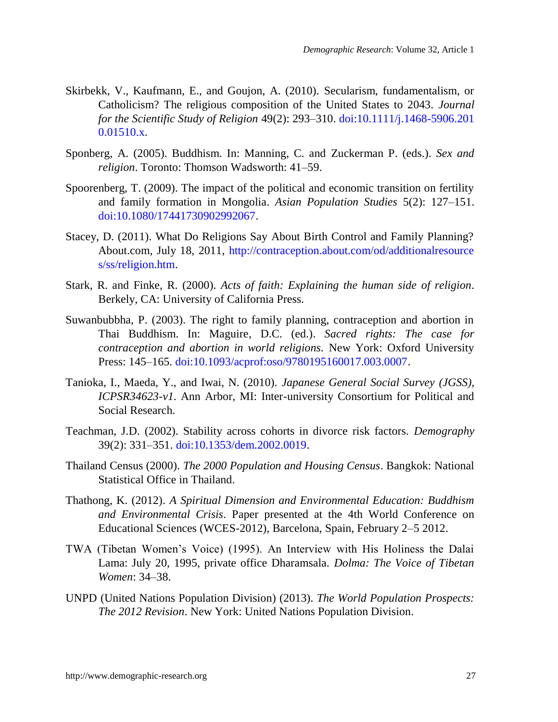- Skirbekk, V., Kaufmann, E., and Goujon, A. (2010). Secularism, fundamentalism, or Catholicism? The religious composition of the United States to 2043. *Journal for the Scientific Study of Religion* 49(2): 293–310. [doi:10.1111/j.1468-5906.201](http://dx.doi.org/10.1111/j.1468-5906.2010.01510.x) [0.01510.x.](http://dx.doi.org/10.1111/j.1468-5906.2010.01510.x)
- Sponberg, A. (2005). Buddhism. In: Manning, C. and Zuckerman P. (eds.). *Sex and religion*. Toronto: Thomson Wadsworth: 41–59.
- Spoorenberg, T. (2009). The impact of the political and economic transition on fertility and family formation in Mongolia. *Asian Population Studies* 5(2): 127–151. [doi:10.1080/17441730902992067.](http://dx.doi.org/10.1080/17441730902992067)
- Stacey, D. (2011). What Do Religions Say About Birth Control and Family Planning? About.com, July 18, 2011, [http://contraception.about.com/od/additionalresource](http://contraception.about.com/od/additionalresources/ss/religion.htm) [s/ss/religion.htm.](http://contraception.about.com/od/additionalresources/ss/religion.htm)
- Stark, R. and Finke, R. (2000). *Acts of faith: Explaining the human side of religion*. Berkely, CA: University of California Press.
- Suwanbubbha, P. (2003). The right to family planning, contraception and abortion in Thai Buddhism. In: Maguire, D.C. (ed.). *Sacred rights: The case for contraception and abortion in world religions.* New York: Oxford University Press: 145–165. [doi:10.1093/acprof:oso/9780195160017.003.0007.](http://dx.doi.org/10.1093/acprof:oso/9780195160017.003.0007)
- Tanioka, I., Maeda, Y., and Iwai, N. (2010). *Japanese General Social Survey (JGSS), ICPSR34623-v1*. Ann Arbor, MI: Inter-university Consortium for Political and Social Research.
- Teachman, J.D. (2002). Stability across cohorts in divorce risk factors. *Demography* 39(2): 331–351. [doi:10.1353/dem.2002.0019.](http://dx.doi.org/10.1353/dem.2002.0019)
- Thailand Census (2000). *The 2000 Population and Housing Census*. Bangkok: National Statistical Office in Thailand.
- Thathong, K. (2012). *A Spiritual Dimension and Environmental Education: Buddhism and Environmental Crisis*. Paper presented at the 4th World Conference on Educational Sciences (WCES-2012), Barcelona, Spain, February 2–5 2012.
- TWA (Tibetan Women"s Voice) (1995). An Interview with His Holiness the Dalai Lama: July 20, 1995, private office Dharamsala. *Dolma: The Voice of Tibetan Women*: 34–38.
- UNPD (United Nations Population Division) (2013). *The World Population Prospects: The 2012 Revision*. New York: United Nations Population Division.